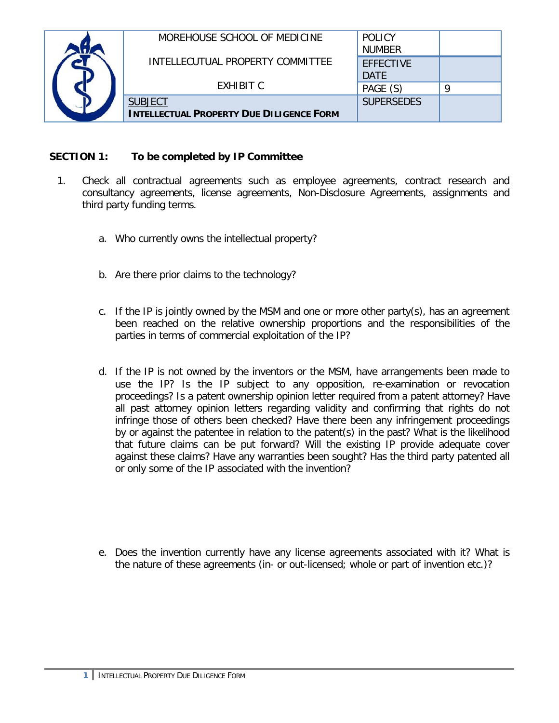| MOREHOUSE SCHOOL OF MEDICINE                    | <b>POLICY</b><br><b>NUMBER</b>  |   |
|-------------------------------------------------|---------------------------------|---|
| INTELLECUTUAL PROPERTY COMMITTEE                | <b>EFFECTIVE</b><br><b>DATE</b> |   |
| <b>FXHIBIT C</b>                                | PAGE (S)                        | Ω |
| <b>SUBJECT</b>                                  | <b>SUPERSEDES</b>               |   |
| <b>INTELLECTUAL PROPERTY DUE DILIGENCE FORM</b> |                                 |   |

## **SECTION 1: To be completed by IP Committee**

- 1. Check all contractual agreements such as employee agreements, contract research and consultancy agreements, license agreements, Non-Disclosure Agreements, assignments and third party funding terms.
	- a. Who currently owns the intellectual property?
	- b. Are there prior claims to the technology?
	- c. If the IP is jointly owned by the MSM and one or more other party(s), has an agreement been reached on the relative ownership proportions and the responsibilities of the parties in terms of commercial exploitation of the IP?
	- d. If the IP is not owned by the inventors or the MSM, have arrangements been made to use the IP? Is the IP subject to any opposition, re-examination or revocation proceedings? Is a patent ownership opinion letter required from a patent attorney? Have all past attorney opinion letters regarding validity and confirming that rights do not infringe those of others been checked? Have there been any infringement proceedings by or against the patentee in relation to the patent(s) in the past? What is the likelihood that future claims can be put forward? Will the existing IP provide adequate cover against these claims? Have any warranties been sought? Has the third party patented all or only some of the IP associated with the invention?
	- e. Does the invention currently have any license agreements associated with it? What is the nature of these agreements (in- or out-licensed; whole or part of invention etc.)?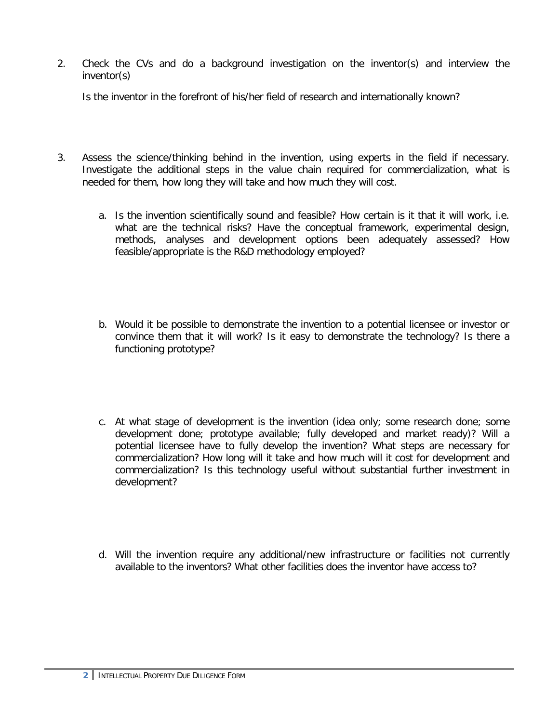2. Check the CVs and do a background investigation on the inventor(s) and interview the inventor(s)

Is the inventor in the forefront of his/her field of research and internationally known?

- 3. Assess the science/thinking behind in the invention, using experts in the field if necessary. Investigate the additional steps in the value chain required for commercialization, what is needed for them, how long they will take and how much they will cost.
	- a. Is the invention scientifically sound and feasible? How certain is it that it will work, i.e. what are the technical risks? Have the conceptual framework, experimental design, methods, analyses and development options been adequately assessed? How feasible/appropriate is the R&D methodology employed?
	- b. Would it be possible to demonstrate the invention to a potential licensee or investor or convince them that it will work? Is it easy to demonstrate the technology? Is there a functioning prototype?
	- c. At what stage of development is the invention (idea only; some research done; some development done; prototype available; fully developed and market ready)? Will a potential licensee have to fully develop the invention? What steps are necessary for commercialization? How long will it take and how much will it cost for development and commercialization? Is this technology useful without substantial further investment in development?
	- d. Will the invention require any additional/new infrastructure or facilities not currently available to the inventors? What other facilities does the inventor have access to?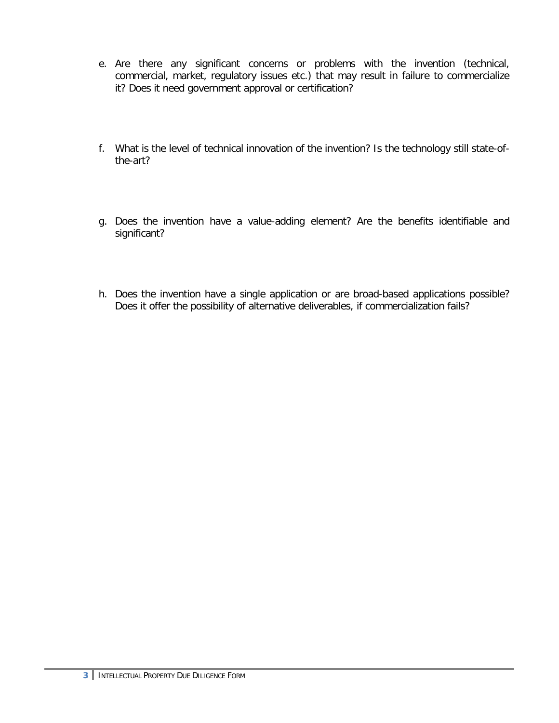- e. Are there any significant concerns or problems with the invention (technical, commercial, market, regulatory issues etc.) that may result in failure to commercialize it? Does it need government approval or certification?
- f. What is the level of technical innovation of the invention? Is the technology still state-ofthe-art?
- g. Does the invention have a value-adding element? Are the benefits identifiable and significant?
- h. Does the invention have a single application or are broad-based applications possible? Does it offer the possibility of alternative deliverables, if commercialization fails?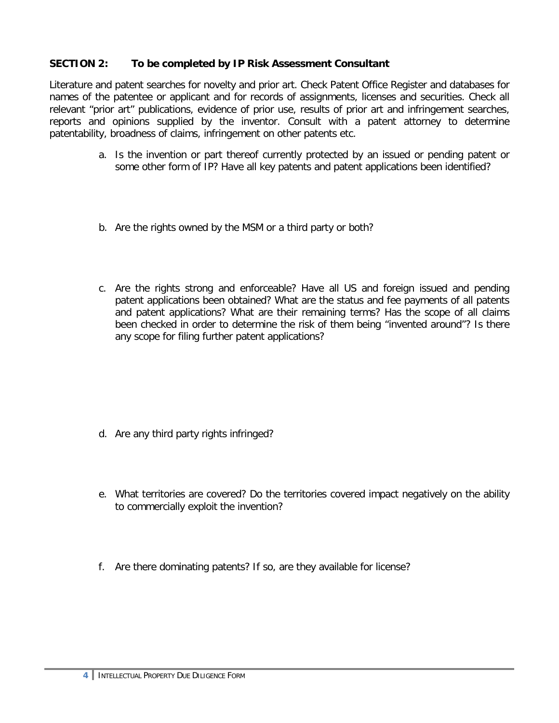## **SECTION 2: To be completed by IP Risk Assessment Consultant**

Literature and patent searches for novelty and prior art. Check Patent Office Register and databases for names of the patentee or applicant and for records of assignments, licenses and securities. Check all relevant "prior art" publications, evidence of prior use, results of prior art and infringement searches, reports and opinions supplied by the inventor. Consult with a patent attorney to determine patentability, broadness of claims, infringement on other patents etc.

- a. Is the invention or part thereof currently protected by an issued or pending patent or some other form of IP? Have all key patents and patent applications been identified?
- b. Are the rights owned by the MSM or a third party or both?
- c. Are the rights strong and enforceable? Have all US and foreign issued and pending patent applications been obtained? What are the status and fee payments of all patents and patent applications? What are their remaining terms? Has the scope of all claims been checked in order to determine the risk of them being "invented around"? Is there any scope for filing further patent applications?

- d. Are any third party rights infringed?
- e. What territories are covered? Do the territories covered impact negatively on the ability to commercially exploit the invention?
- f. Are there dominating patents? If so, are they available for license?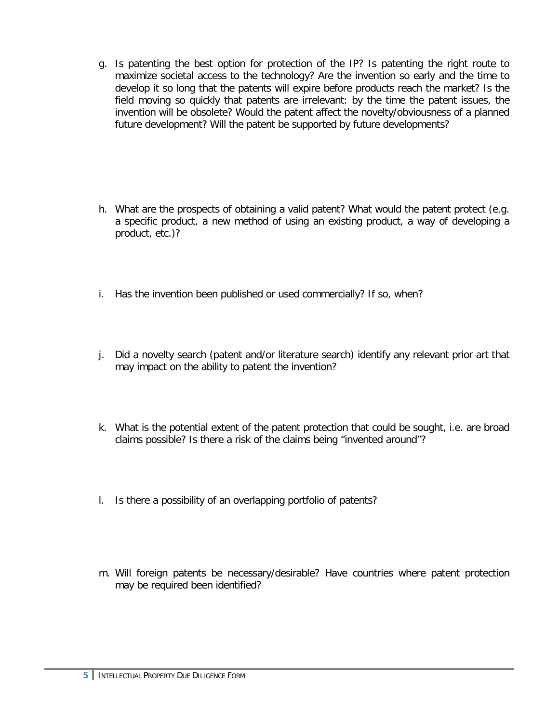- g. Is patenting the best option for protection of the IP? Is patenting the right route to maximize societal access to the technology? Are the invention so early and the time to develop it so long that the patents will expire before products reach the market? Is the field moving so quickly that patents are irrelevant: by the time the patent issues, the invention will be obsolete? Would the patent affect the novelty/obviousness of a planned future development? Will the patent be supported by future developments?
- h. What are the prospects of obtaining a valid patent? What would the patent protect (e.g. a specific product, a new method of using an existing product, a way of developing a product, etc.)?
- i. Has the invention been published or used commercially? If so, when?
- j. Did a novelty search (patent and/or literature search) identify any relevant prior art that may impact on the ability to patent the invention?
- k. What is the potential extent of the patent protection that could be sought, i.e. are broad claims possible? Is there a risk of the claims being "invented around"?
- l. Is there a possibility of an overlapping portfolio of patents?
- m. Will foreign patents be necessary/desirable? Have countries where patent protection may be required been identified?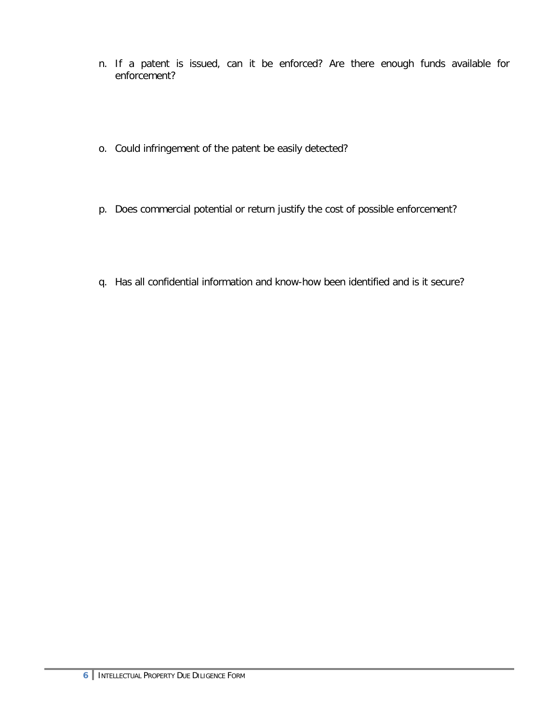- n. If a patent is issued, can it be enforced? Are there enough funds available for enforcement?
- o. Could infringement of the patent be easily detected?
- p. Does commercial potential or return justify the cost of possible enforcement?
- q. Has all confidential information and know-how been identified and is it secure?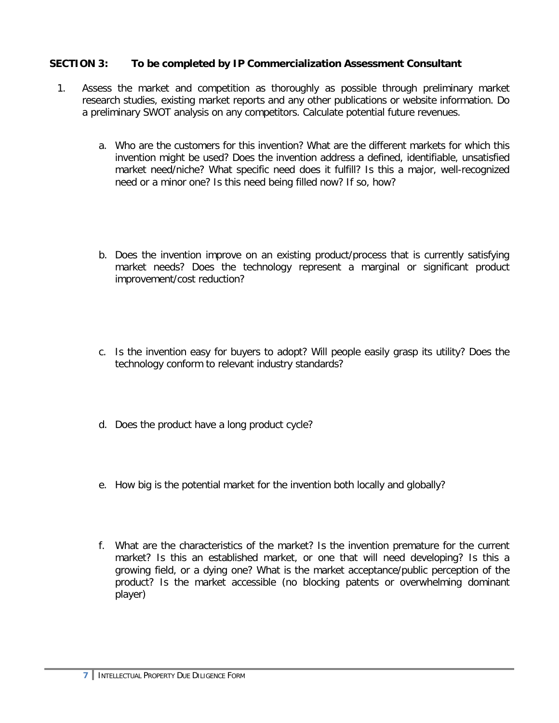## **SECTION 3: To be completed by IP Commercialization Assessment Consultant**

- 1. Assess the market and competition as thoroughly as possible through preliminary market research studies, existing market reports and any other publications or website information. Do a preliminary SWOT analysis on any competitors. Calculate potential future revenues.
	- a. Who are the customers for this invention? What are the different markets for which this invention might be used? Does the invention address a defined, identifiable, unsatisfied market need/niche? What specific need does it fulfill? Is this a major, well-recognized need or a minor one? Is this need being filled now? If so, how?
	- b. Does the invention improve on an existing product/process that is currently satisfying market needs? Does the technology represent a marginal or significant product improvement/cost reduction?
	- c. Is the invention easy for buyers to adopt? Will people easily grasp its utility? Does the technology conform to relevant industry standards?
	- d. Does the product have a long product cycle?
	- e. How big is the potential market for the invention both locally and globally?
	- f. What are the characteristics of the market? Is the invention premature for the current market? Is this an established market, or one that will need developing? Is this a growing field, or a dying one? What is the market acceptance/public perception of the product? Is the market accessible (no blocking patents or overwhelming dominant player)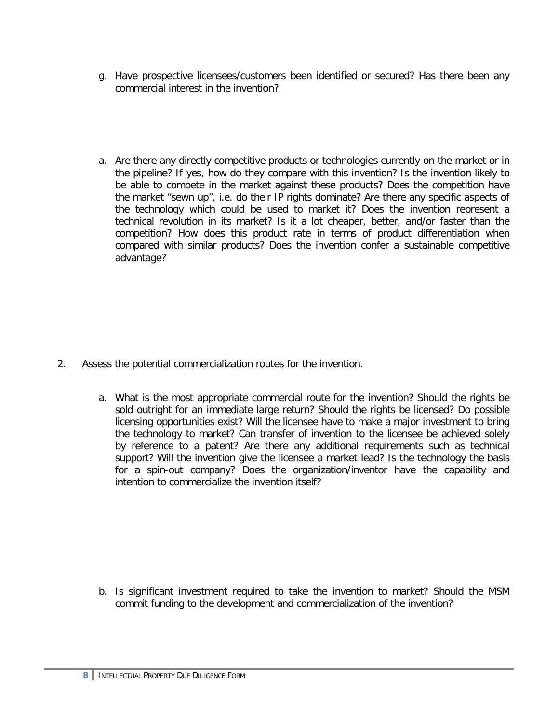- g. Have prospective licensees/customers been identified or secured? Has there been any commercial interest in the invention?
- a. Are there any directly competitive products or technologies currently on the market or in the pipeline? If yes, how do they compare with this invention? Is the invention likely to be able to compete in the market against these products? Does the competition have the market "sewn up", i.e. do their IP rights dominate? Are there any specific aspects of the technology which could be used to market it? Does the invention represent a technical revolution in its market? Is it a lot cheaper, better, and/or faster than the competition? How does this product rate in terms of product differentiation when compared with similar products? Does the invention confer a sustainable competitive advantage?

- 2. Assess the potential commercialization routes for the invention.
	- a. What is the most appropriate commercial route for the invention? Should the rights be sold outright for an immediate large return? Should the rights be licensed? Do possible licensing opportunities exist? Will the licensee have to make a major investment to bring the technology to market? Can transfer of invention to the licensee be achieved solely by reference to a patent? Are there any additional requirements such as technical support? Will the invention give the licensee a market lead? Is the technology the basis for a spin-out company? Does the organization/inventor have the capability and intention to commercialize the invention itself?

b. Is significant investment required to take the invention to market? Should the MSM commit funding to the development and commercialization of the invention?